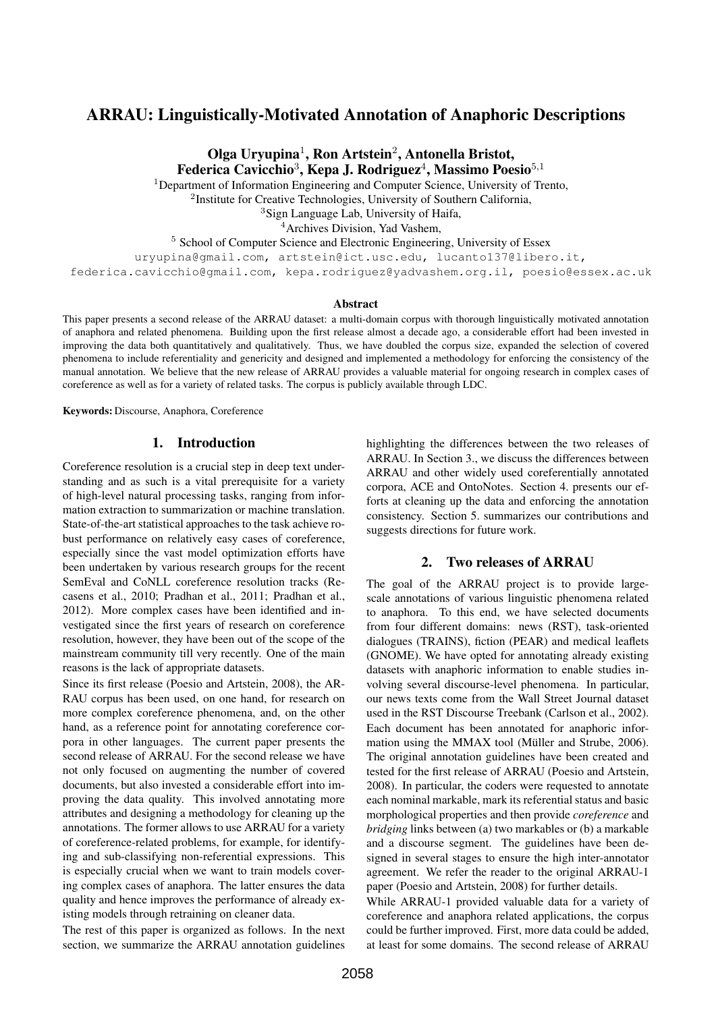# ARRAU: Linguistically-Motivated Annotation of Anaphoric Descriptions

Olga Uryupina<sup>1</sup>, Ron Artstein<sup>2</sup>, Antonella Bristot, Federica Cavicchio<sup>3</sup>, Kepa J. Rodriguez<sup>4</sup>, Massimo Poesio<sup>5,1</sup>

<sup>1</sup>Department of Information Engineering and Computer Science, University of Trento,

<sup>2</sup>Institute for Creative Technologies, University of Southern California,

<sup>3</sup>Sign Language Lab, University of Haifa,

<sup>4</sup>Archives Division, Yad Vashem,

<sup>5</sup> School of Computer Science and Electronic Engineering, University of Essex

uryupina@gmail.com, artstein@ict.usc.edu, lucanto137@libero.it,

federica.cavicchio@gmail.com, kepa.rodriguez@yadvashem.org.il, poesio@essex.ac.uk

#### Abstract

This paper presents a second release of the ARRAU dataset: a multi-domain corpus with thorough linguistically motivated annotation of anaphora and related phenomena. Building upon the first release almost a decade ago, a considerable effort had been invested in improving the data both quantitatively and qualitatively. Thus, we have doubled the corpus size, expanded the selection of covered phenomena to include referentiality and genericity and designed and implemented a methodology for enforcing the consistency of the manual annotation. We believe that the new release of ARRAU provides a valuable material for ongoing research in complex cases of coreference as well as for a variety of related tasks. The corpus is publicly available through LDC.

Keywords: Discourse, Anaphora, Coreference

### 1. Introduction

Coreference resolution is a crucial step in deep text understanding and as such is a vital prerequisite for a variety of high-level natural processing tasks, ranging from information extraction to summarization or machine translation. State-of-the-art statistical approaches to the task achieve robust performance on relatively easy cases of coreference, especially since the vast model optimization efforts have been undertaken by various research groups for the recent SemEval and CoNLL coreference resolution tracks (Recasens et al., 2010; Pradhan et al., 2011; Pradhan et al., 2012). More complex cases have been identified and investigated since the first years of research on coreference resolution, however, they have been out of the scope of the mainstream community till very recently. One of the main reasons is the lack of appropriate datasets.

Since its first release (Poesio and Artstein, 2008), the AR-RAU corpus has been used, on one hand, for research on more complex coreference phenomena, and, on the other hand, as a reference point for annotating coreference corpora in other languages. The current paper presents the second release of ARRAU. For the second release we have not only focused on augmenting the number of covered documents, but also invested a considerable effort into improving the data quality. This involved annotating more attributes and designing a methodology for cleaning up the annotations. The former allows to use ARRAU for a variety of coreference-related problems, for example, for identifying and sub-classifying non-referential expressions. This is especially crucial when we want to train models covering complex cases of anaphora. The latter ensures the data quality and hence improves the performance of already existing models through retraining on cleaner data.

The rest of this paper is organized as follows. In the next section, we summarize the ARRAU annotation guidelines

highlighting the differences between the two releases of ARRAU. In Section 3., we discuss the differences between ARRAU and other widely used coreferentially annotated corpora, ACE and OntoNotes. Section 4. presents our efforts at cleaning up the data and enforcing the annotation consistency. Section 5. summarizes our contributions and suggests directions for future work.

#### 2. Two releases of ARRAU

The goal of the ARRAU project is to provide largescale annotations of various linguistic phenomena related to anaphora. To this end, we have selected documents from four different domains: news (RST), task-oriented dialogues (TRAINS), fiction (PEAR) and medical leaflets (GNOME). We have opted for annotating already existing datasets with anaphoric information to enable studies involving several discourse-level phenomena. In particular, our news texts come from the Wall Street Journal dataset used in the RST Discourse Treebank (Carlson et al., 2002). Each document has been annotated for anaphoric information using the MMAX tool (Müller and Strube, 2006). The original annotation guidelines have been created and tested for the first release of ARRAU (Poesio and Artstein, 2008). In particular, the coders were requested to annotate each nominal markable, mark its referential status and basic morphological properties and then provide *coreference* and *bridging* links between (a) two markables or (b) a markable and a discourse segment. The guidelines have been designed in several stages to ensure the high inter-annotator agreement. We refer the reader to the original ARRAU-1 paper (Poesio and Artstein, 2008) for further details.

While ARRAU-1 provided valuable data for a variety of coreference and anaphora related applications, the corpus could be further improved. First, more data could be added, at least for some domains. The second release of ARRAU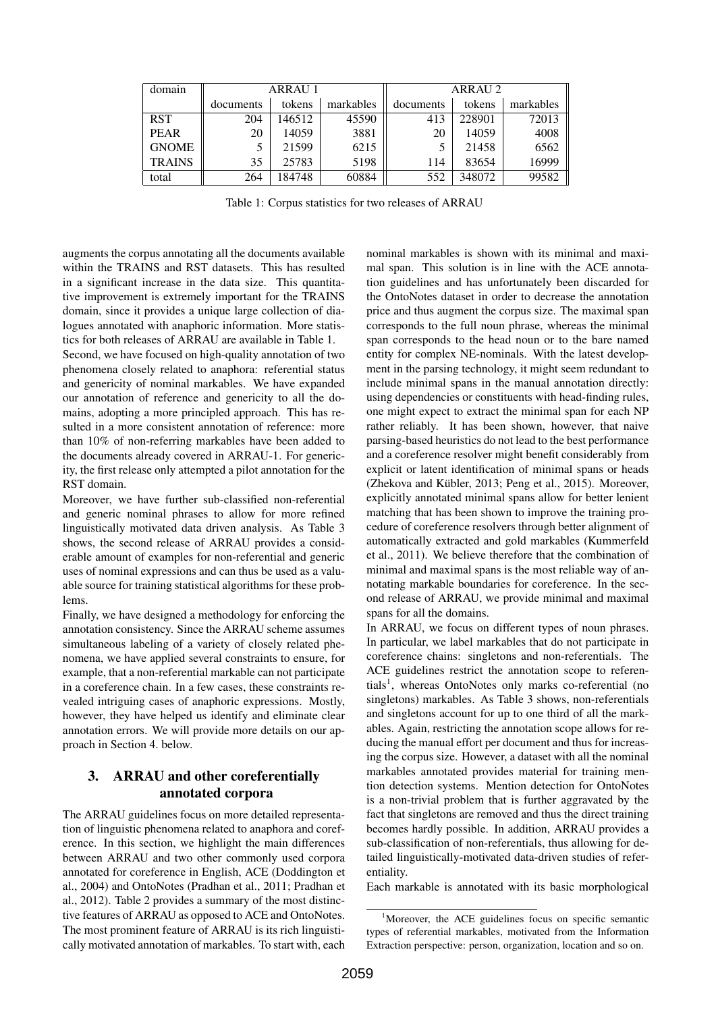| domain        | <b>ARRAU 1</b> |        |           | ARRAU 2   |        |           |
|---------------|----------------|--------|-----------|-----------|--------|-----------|
|               | documents      | tokens | markables | documents | tokens | markables |
| <b>RST</b>    | 204            | 146512 | 45590     | 413       | 228901 | 72013     |
| <b>PEAR</b>   | 20             | 14059  | 3881      | 20        | 14059  | 4008      |
| <b>GNOME</b>  |                | 21599  | 6215      |           | 21458  | 6562      |
| <b>TRAINS</b> | 35             | 25783  | 5198      | 114       | 83654  | 16999     |
| total         | 264            | 184748 | 60884     | 552       | 348072 | 99582     |

Table 1: Corpus statistics for two releases of ARRAU

augments the corpus annotating all the documents available within the TRAINS and RST datasets. This has resulted in a significant increase in the data size. This quantitative improvement is extremely important for the TRAINS domain, since it provides a unique large collection of dialogues annotated with anaphoric information. More statistics for both releases of ARRAU are available in Table 1.

Second, we have focused on high-quality annotation of two phenomena closely related to anaphora: referential status and genericity of nominal markables. We have expanded our annotation of reference and genericity to all the domains, adopting a more principled approach. This has resulted in a more consistent annotation of reference: more than 10% of non-referring markables have been added to the documents already covered in ARRAU-1. For genericity, the first release only attempted a pilot annotation for the RST domain.

Moreover, we have further sub-classified non-referential and generic nominal phrases to allow for more refined linguistically motivated data driven analysis. As Table 3 shows, the second release of ARRAU provides a considerable amount of examples for non-referential and generic uses of nominal expressions and can thus be used as a valuable source for training statistical algorithms for these problems.

Finally, we have designed a methodology for enforcing the annotation consistency. Since the ARRAU scheme assumes simultaneous labeling of a variety of closely related phenomena, we have applied several constraints to ensure, for example, that a non-referential markable can not participate in a coreference chain. In a few cases, these constraints revealed intriguing cases of anaphoric expressions. Mostly, however, they have helped us identify and eliminate clear annotation errors. We will provide more details on our approach in Section 4. below.

## 3. ARRAU and other coreferentially annotated corpora

The ARRAU guidelines focus on more detailed representation of linguistic phenomena related to anaphora and coreference. In this section, we highlight the main differences between ARRAU and two other commonly used corpora annotated for coreference in English, ACE (Doddington et al., 2004) and OntoNotes (Pradhan et al., 2011; Pradhan et al., 2012). Table 2 provides a summary of the most distinctive features of ARRAU as opposed to ACE and OntoNotes. The most prominent feature of ARRAU is its rich linguistically motivated annotation of markables. To start with, each nominal markables is shown with its minimal and maximal span. This solution is in line with the ACE annotation guidelines and has unfortunately been discarded for the OntoNotes dataset in order to decrease the annotation price and thus augment the corpus size. The maximal span corresponds to the full noun phrase, whereas the minimal span corresponds to the head noun or to the bare named entity for complex NE-nominals. With the latest development in the parsing technology, it might seem redundant to include minimal spans in the manual annotation directly: using dependencies or constituents with head-finding rules, one might expect to extract the minimal span for each NP rather reliably. It has been shown, however, that naive parsing-based heuristics do not lead to the best performance and a coreference resolver might benefit considerably from explicit or latent identification of minimal spans or heads (Zhekova and Kübler, 2013; Peng et al., 2015). Moreover, explicitly annotated minimal spans allow for better lenient matching that has been shown to improve the training procedure of coreference resolvers through better alignment of automatically extracted and gold markables (Kummerfeld et al., 2011). We believe therefore that the combination of minimal and maximal spans is the most reliable way of annotating markable boundaries for coreference. In the second release of ARRAU, we provide minimal and maximal spans for all the domains.

In ARRAU, we focus on different types of noun phrases. In particular, we label markables that do not participate in coreference chains: singletons and non-referentials. The ACE guidelines restrict the annotation scope to referentials<sup>1</sup>, whereas OntoNotes only marks co-referential (no singletons) markables. As Table 3 shows, non-referentials and singletons account for up to one third of all the markables. Again, restricting the annotation scope allows for reducing the manual effort per document and thus for increasing the corpus size. However, a dataset with all the nominal markables annotated provides material for training mention detection systems. Mention detection for OntoNotes is a non-trivial problem that is further aggravated by the fact that singletons are removed and thus the direct training becomes hardly possible. In addition, ARRAU provides a sub-classification of non-referentials, thus allowing for detailed linguistically-motivated data-driven studies of referentiality.

Each markable is annotated with its basic morphological

<sup>&</sup>lt;sup>1</sup>Moreover, the ACE guidelines focus on specific semantic types of referential markables, motivated from the Information Extraction perspective: person, organization, location and so on.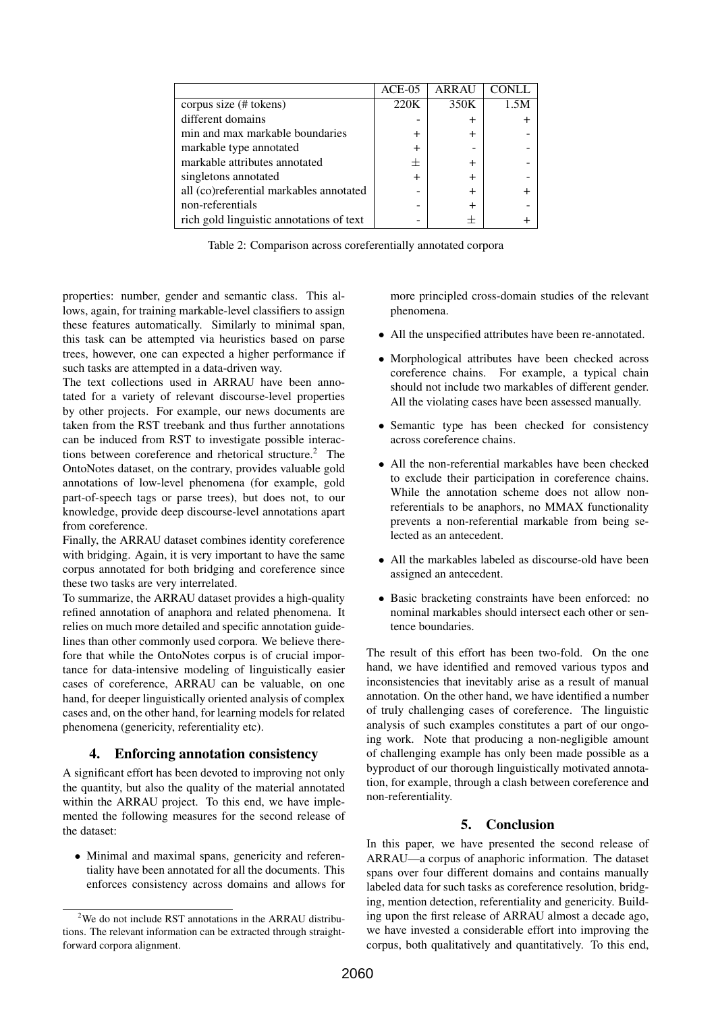|                                          | $ACE-05$     | <b>ARRAU</b> |      |
|------------------------------------------|--------------|--------------|------|
| corpus size (# tokens)                   | 220K         | 350K         | 1.5M |
| different domains                        |              | ┿            |      |
| min and max markable boundaries          |              |              |      |
| markable type annotated                  |              |              |      |
| markable attributes annotated            | 士            |              |      |
| singletons annotated                     | $\mathrm{+}$ | +            |      |
| all (co)referential markables annotated  |              |              |      |
| non-referentials                         |              |              |      |
| rich gold linguistic annotations of text |              |              |      |

Table 2: Comparison across coreferentially annotated corpora

properties: number, gender and semantic class. This allows, again, for training markable-level classifiers to assign these features automatically. Similarly to minimal span, this task can be attempted via heuristics based on parse trees, however, one can expected a higher performance if such tasks are attempted in a data-driven way.

The text collections used in ARRAU have been annotated for a variety of relevant discourse-level properties by other projects. For example, our news documents are taken from the RST treebank and thus further annotations can be induced from RST to investigate possible interactions between coreference and rhetorical structure.<sup>2</sup> The OntoNotes dataset, on the contrary, provides valuable gold annotations of low-level phenomena (for example, gold part-of-speech tags or parse trees), but does not, to our knowledge, provide deep discourse-level annotations apart from coreference.

Finally, the ARRAU dataset combines identity coreference with bridging. Again, it is very important to have the same corpus annotated for both bridging and coreference since these two tasks are very interrelated.

To summarize, the ARRAU dataset provides a high-quality refined annotation of anaphora and related phenomena. It relies on much more detailed and specific annotation guidelines than other commonly used corpora. We believe therefore that while the OntoNotes corpus is of crucial importance for data-intensive modeling of linguistically easier cases of coreference, ARRAU can be valuable, on one hand, for deeper linguistically oriented analysis of complex cases and, on the other hand, for learning models for related phenomena (genericity, referentiality etc).

### 4. Enforcing annotation consistency

A significant effort has been devoted to improving not only the quantity, but also the quality of the material annotated within the ARRAU project. To this end, we have implemented the following measures for the second release of the dataset:

• Minimal and maximal spans, genericity and referentiality have been annotated for all the documents. This enforces consistency across domains and allows for more principled cross-domain studies of the relevant phenomena.

- All the unspecified attributes have been re-annotated.
- Morphological attributes have been checked across coreference chains. For example, a typical chain should not include two markables of different gender. All the violating cases have been assessed manually.
- Semantic type has been checked for consistency across coreference chains.
- All the non-referential markables have been checked to exclude their participation in coreference chains. While the annotation scheme does not allow nonreferentials to be anaphors, no MMAX functionality prevents a non-referential markable from being selected as an antecedent.
- All the markables labeled as discourse-old have been assigned an antecedent.
- Basic bracketing constraints have been enforced: no nominal markables should intersect each other or sentence boundaries.

The result of this effort has been two-fold. On the one hand, we have identified and removed various typos and inconsistencies that inevitably arise as a result of manual annotation. On the other hand, we have identified a number of truly challenging cases of coreference. The linguistic analysis of such examples constitutes a part of our ongoing work. Note that producing a non-negligible amount of challenging example has only been made possible as a byproduct of our thorough linguistically motivated annotation, for example, through a clash between coreference and non-referentiality.

## 5. Conclusion

In this paper, we have presented the second release of ARRAU—a corpus of anaphoric information. The dataset spans over four different domains and contains manually labeled data for such tasks as coreference resolution, bridging, mention detection, referentiality and genericity. Building upon the first release of ARRAU almost a decade ago, we have invested a considerable effort into improving the corpus, both qualitatively and quantitatively. To this end,

 $2$ We do not include RST annotations in the ARRAU distributions. The relevant information can be extracted through straightforward corpora alignment.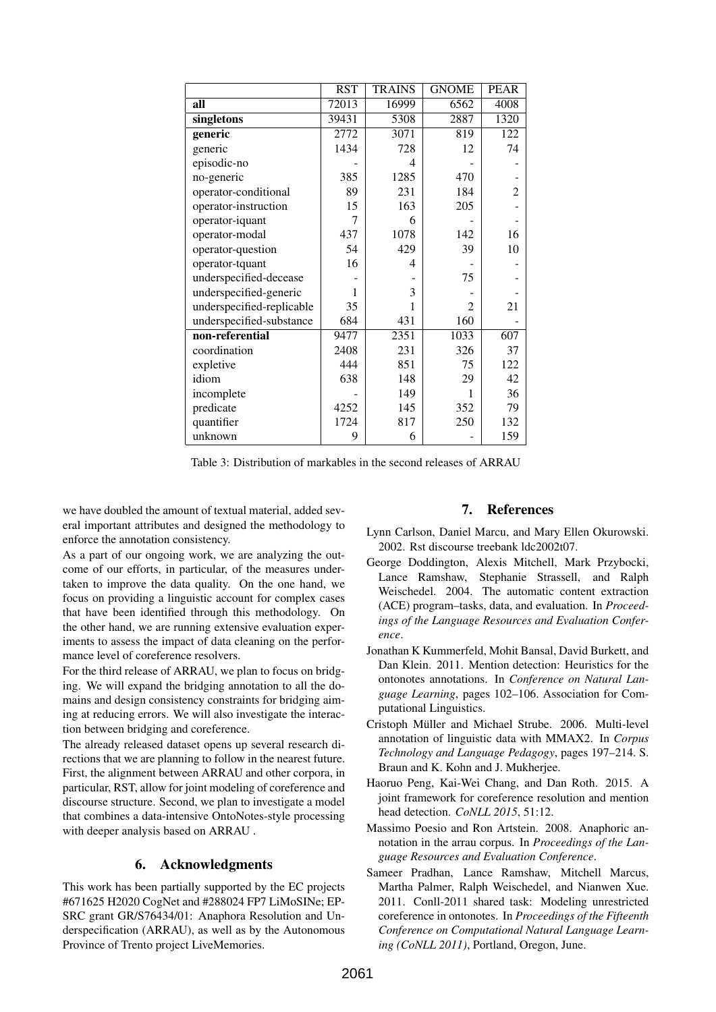|                           | <b>RST</b> | <b>TRAINS</b> | <b>GNOME</b>   | <b>PEAR</b>    |
|---------------------------|------------|---------------|----------------|----------------|
| all                       | 72013      | 16999         | 6562           | 4008           |
| singletons                | 39431      | 5308          | 2887           | 1320           |
| generic                   | 2772       | 3071          | 819            | 122            |
| generic                   | 1434       | 728           | 12             | 74             |
| episodic-no               |            | 4             |                |                |
| no-generic                | 385        | 1285          | 470            |                |
| operator-conditional      | 89         | 231           | 184            | $\overline{2}$ |
| operator-instruction      | 15         | 163           | 205            |                |
| operator-iquant           | 7          | 6             |                |                |
| operator-modal            | 437        | 1078          | 142            | 16             |
| operator-question         | 54         | 429           | 39             | 10             |
| operator-tquant           | 16         | 4             |                |                |
| underspecified-decease    |            |               | 75             |                |
| underspecified-generic    | 1          | 3             |                |                |
| underspecified-replicable | 35         | 1             | $\overline{c}$ | 21             |
| underspecified-substance  | 684        | 431           | 160            |                |
| non-referential           | 9477       | 2351          | 1033           | 607            |
| coordination              | 2408       | 231           | 326            | 37             |
| expletive                 | 444        | 851           | 75             | 122            |
| idiom                     | 638        | 148           | 29             | 42             |
| incomplete                |            | 149           | 1              | 36             |
| predicate                 | 4252       | 145           | 352            | 79             |
| quantifier                | 1724       | 817           | 250            | 132            |
| unknown                   | 9          | 6             |                | 159            |

Table 3: Distribution of markables in the second releases of ARRAU

we have doubled the amount of textual material, added several important attributes and designed the methodology to enforce the annotation consistency.

As a part of our ongoing work, we are analyzing the outcome of our efforts, in particular, of the measures undertaken to improve the data quality. On the one hand, we focus on providing a linguistic account for complex cases that have been identified through this methodology. On the other hand, we are running extensive evaluation experiments to assess the impact of data cleaning on the performance level of coreference resolvers.

For the third release of ARRAU, we plan to focus on bridging. We will expand the bridging annotation to all the domains and design consistency constraints for bridging aiming at reducing errors. We will also investigate the interaction between bridging and coreference.

The already released dataset opens up several research directions that we are planning to follow in the nearest future. First, the alignment between ARRAU and other corpora, in particular, RST, allow for joint modeling of coreference and discourse structure. Second, we plan to investigate a model that combines a data-intensive OntoNotes-style processing with deeper analysis based on ARRAU .

### 6. Acknowledgments

This work has been partially supported by the EC projects #671625 H2020 CogNet and #288024 FP7 LiMoSINe; EP-SRC grant GR/S76434/01: Anaphora Resolution and Underspecification (ARRAU), as well as by the Autonomous Province of Trento project LiveMemories.

#### 7. References

- Lynn Carlson, Daniel Marcu, and Mary Ellen Okurowski. 2002. Rst discourse treebank ldc2002t07.
- George Doddington, Alexis Mitchell, Mark Przybocki, Lance Ramshaw, Stephanie Strassell, and Ralph Weischedel. 2004. The automatic content extraction (ACE) program–tasks, data, and evaluation. In *Proceedings of the Language Resources and Evaluation Conference*.
- Jonathan K Kummerfeld, Mohit Bansal, David Burkett, and Dan Klein. 2011. Mention detection: Heuristics for the ontonotes annotations. In *Conference on Natural Language Learning*, pages 102–106. Association for Computational Linguistics.
- Cristoph Müller and Michael Strube. 2006. Multi-level annotation of linguistic data with MMAX2. In *Corpus Technology and Language Pedagogy*, pages 197–214. S. Braun and K. Kohn and J. Mukherjee.
- Haoruo Peng, Kai-Wei Chang, and Dan Roth. 2015. A joint framework for coreference resolution and mention head detection. *CoNLL 2015*, 51:12.
- Massimo Poesio and Ron Artstein. 2008. Anaphoric annotation in the arrau corpus. In *Proceedings of the Language Resources and Evaluation Conference*.
- Sameer Pradhan, Lance Ramshaw, Mitchell Marcus, Martha Palmer, Ralph Weischedel, and Nianwen Xue. 2011. Conll-2011 shared task: Modeling unrestricted coreference in ontonotes. In *Proceedings of the Fifteenth Conference on Computational Natural Language Learning (CoNLL 2011)*, Portland, Oregon, June.